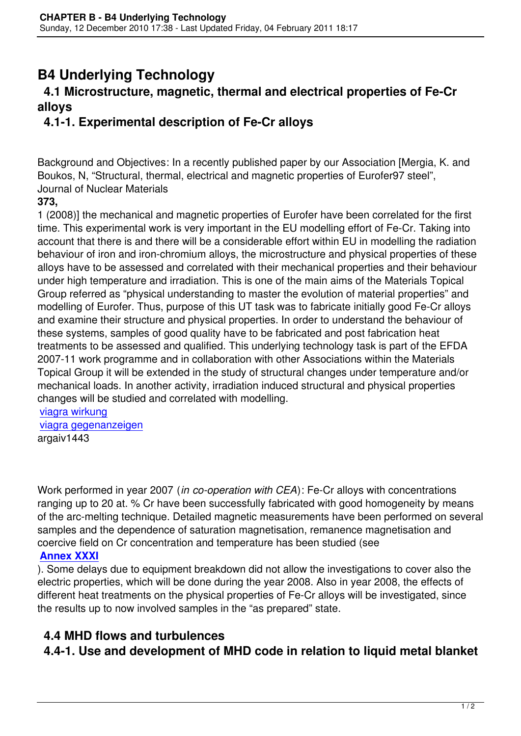# **B4 Underlying Technology**

## **4.1 Microstructure, magnetic, thermal and electrical properties of Fe-Cr alloys**

### **4.1-1. Experimental description of Fe-Cr alloys**

Background and Objectives: In a recently published paper by our Association [Mergia, K. and Boukos, N, "Structural, thermal, electrical and magnetic properties of Eurofer97 steel", Journal of Nuclear Materials

#### **373,**

1 (2008)] the mechanical and magnetic properties of Eurofer have been correlated for the first time. This experimental work is very important in the EU modelling effort of Fe-Cr. Taking into account that there is and there will be a considerable effort within EU in modelling the radiation behaviour of iron and iron-chromium alloys, the microstructure and physical properties of these alloys have to be assessed and correlated with their mechanical properties and their behaviour under high temperature and irradiation. This is one of the main aims of the Materials Topical Group referred as "physical understanding to master the evolution of material properties" and modelling of Eurofer. Thus, purpose of this UT task was to fabricate initially good Fe-Cr alloys and examine their structure and physical properties. In order to understand the behaviour of these systems, samples of good quality have to be fabricated and post fabrication heat treatments to be assessed and qualified. This underlying technology task is part of the EFDA 2007-11 work programme and in collaboration with other Associations within the Materials Topical Group it will be extended in the study of structural changes under temperature and/or mechanical loads. In another activity, irradiation induced structural and physical properties changes will be studied and correlated with modelling.

viagra wirkung viagra gegenanzeigen argaiv1443

Work performed in year 2007 (*in co-operation with CEA*): Fe-Cr alloys with concentrations ranging up to 20 at. % Cr have been successfully fabricated with good homogeneity by means of the arc-melting technique. Detailed magnetic measurements have been performed on several samples and the dependence of saturation magnetisation, remanence magnetisation and coercive field on Cr concentration and temperature has been studied (see

### **Annex XXXI**

). Some delays due to equipment breakdown did not allow the investigations to cover also the electric properties, which will be done during the year 2008. Also in year 2008, the effects of [different heat](images/stories/Annexes/2007/Annex31.pdf) treatments on the physical properties of Fe-Cr alloys will be investigated, since the results up to now involved samples in the "as prepared" state.

### **4.4 MHD flows and turbulences**

**4.4-1. Use and development of MHD code in relation to liquid metal blanket**